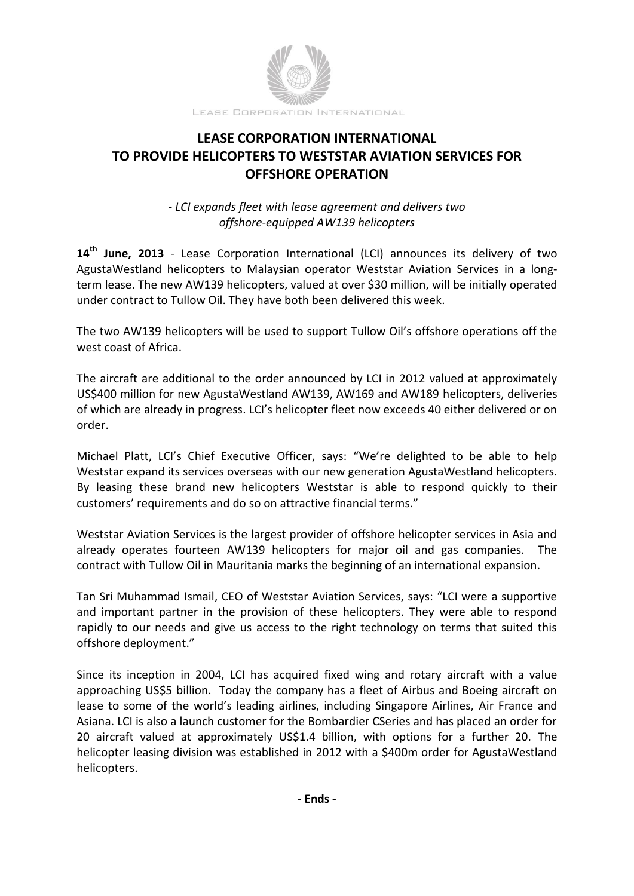

## **LEASE CORPORATION INTERNATIONAL TO PROVIDE HELICOPTERS TO WESTSTAR AVIATION SERVICES FOR OFFSHORE OPERATION**

*- LCI expands fleet with lease agreement and delivers two offshore-equipped AW139 helicopters*

**14 th June, 2013** - Lease Corporation International (LCI) announces its delivery of two AgustaWestland helicopters to Malaysian operator Weststar Aviation Services in a longterm lease. The new AW139 helicopters, valued at over \$30 million, will be initially operated under contract to Tullow Oil. They have both been delivered this week.

The two AW139 helicopters will be used to support Tullow Oil's offshore operations off the west coast of Africa.

The aircraft are additional to the order announced by LCI in 2012 valued at approximately US\$400 million for new AgustaWestland AW139, AW169 and AW189 helicopters, deliveries of which are already in progress. LCI's helicopter fleet now exceeds 40 either delivered or on order.

Michael Platt, LCI's Chief Executive Officer, says: "We're delighted to be able to help Weststar expand its services overseas with our new generation AgustaWestland helicopters. By leasing these brand new helicopters Weststar is able to respond quickly to their customers' requirements and do so on attractive financial terms."

Weststar Aviation Services is the largest provider of offshore helicopter services in Asia and already operates fourteen AW139 helicopters for major oil and gas companies. The contract with Tullow Oil in Mauritania marks the beginning of an international expansion.

Tan Sri Muhammad Ismail, CEO of Weststar Aviation Services, says: "LCI were a supportive and important partner in the provision of these helicopters. They were able to respond rapidly to our needs and give us access to the right technology on terms that suited this offshore deployment."

Since its inception in 2004, LCI has acquired fixed wing and rotary aircraft with a value approaching US\$5 billion. Today the company has a fleet of Airbus and Boeing aircraft on lease to some of the world's leading airlines, including Singapore Airlines, Air France and Asiana. LCI is also a launch customer for the Bombardier CSeries and has placed an order for 20 aircraft valued at approximately US\$1.4 billion, with options for a further 20. The helicopter leasing division was established in 2012 with a \$400m order for AgustaWestland helicopters.